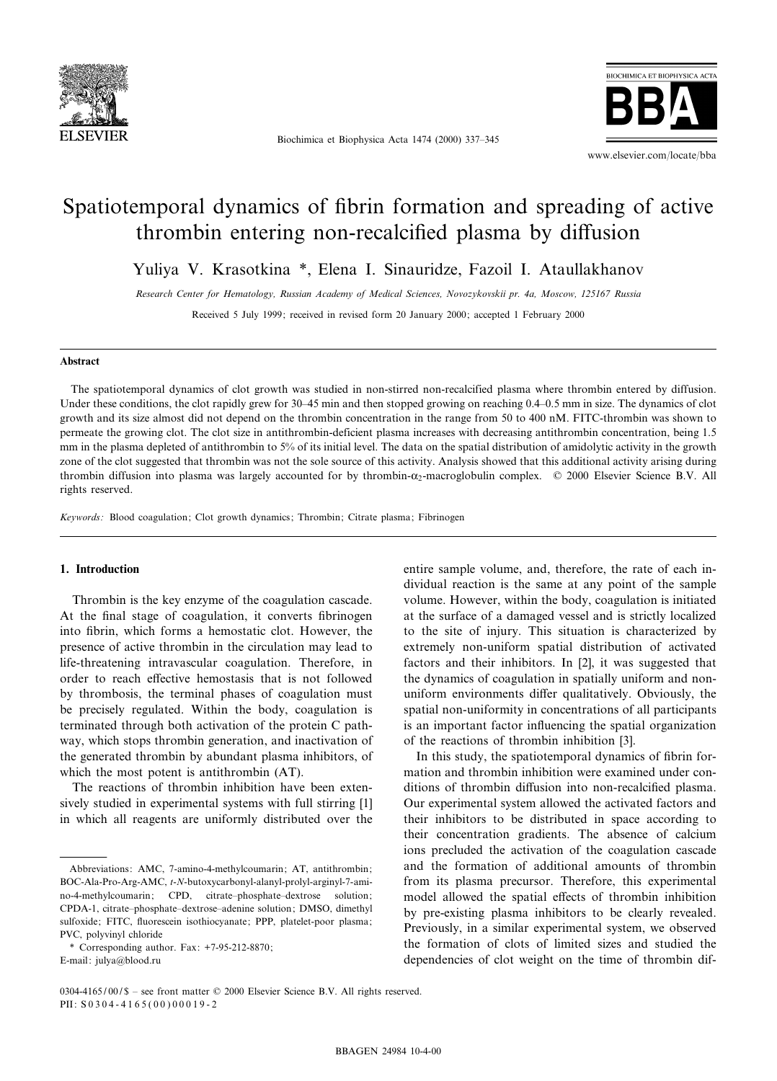

Biochimica et Biophysica Acta 1474 (2000) 337-345



# Spatiotemporal dynamics of fibrin formation and spreading of active thrombin entering non-recalcified plasma by diffusion

Yuliya V. Krasotkina \*, Elena I. Sinauridze, Fazoil I. Ataullakhanov

Research Center for Hematology, Russian Academy of Medical Sciences, Novozykovskii pr. 4a, Moscow, 125167 Russia

Received 5 July 1999; received in revised form 20 January 2000; accepted 1 February 2000

#### Abstract

The spatiotemporal dynamics of clot growth was studied in non-stirred non-recalcified plasma where thrombin entered by diffusion. Under these conditions, the clot rapidly grew for 30–45 min and then stopped growing on reaching 0.4–0.5 mm in size. The dynamics of clot growth and its size almost did not depend on the thrombin concentration in the range from 50 to 400 nM. FITC-thrombin was shown to permeate the growing clot. The clot size in antithrombin-deficient plasma increases with decreasing antithrombin concentration, being 1.5 mm in the plasma depleted of antithrombin to 5% of its initial level. The data on the spatial distribution of amidolytic activity in the growth zone of the clot suggested that thrombin was not the sole source of this activity. Analysis showed that this additional activity arising during thrombin diffusion into plasma was largely accounted for by thrombin- $\alpha_2$ -macroglobulin complex.  $\oslash$  2000 Elsevier Science B.V. All rights reserved.

Keywords: Blood coagulation; Clot growth dynamics; Thrombin; Citrate plasma; Fibrinogen

#### 1. Introduction

Thrombin is the key enzyme of the coagulation cascade. At the final stage of coagulation, it converts fibrinogen into fibrin, which forms a hemostatic clot. However, the presence of active thrombin in the circulation may lead to life-threatening intravascular coagulation. Therefore, in order to reach effective hemostasis that is not followed by thrombosis, the terminal phases of coagulation must be precisely regulated. Within the body, coagulation is terminated through both activation of the protein C pathway, which stops thrombin generation, and inactivation of the generated thrombin by abundant plasma inhibitors, of which the most potent is antithrombin (AT).

The reactions of thrombin inhibition have been extensively studied in experimental systems with full stirring [1] in which all reagents are uniformly distributed over the

\* Corresponding author. Fax: +7-95-212-8870; E-mail: julya@blood.ru

entire sample volume, and, therefore, the rate of each individual reaction is the same at any point of the sample volume. However, within the body, coagulation is initiated at the surface of a damaged vessel and is strictly localized to the site of injury. This situation is characterized by extremely non-uniform spatial distribution of activated factors and their inhibitors. In [2], it was suggested that the dynamics of coagulation in spatially uniform and nonuniform environments differ qualitatively. Obviously, the spatial non-uniformity in concentrations of all participants is an important factor influencing the spatial organization of the reactions of thrombin inhibition [3].

In this study, the spatiotemporal dynamics of fibrin formation and thrombin inhibition were examined under conditions of thrombin diffusion into non-recalcified plasma. Our experimental system allowed the activated factors and their inhibitors to be distributed in space according to their concentration gradients. The absence of calcium ions precluded the activation of the coagulation cascade and the formation of additional amounts of thrombin from its plasma precursor. Therefore, this experimental model allowed the spatial effects of thrombin inhibition by pre-existing plasma inhibitors to be clearly revealed. Previously, in a similar experimental system, we observed the formation of clots of limited sizes and studied the dependencies of clot weight on the time of thrombin dif-

Abbreviations: AMC, 7-amino-4-methylcoumarin; AT, antithrombin; BOC-Ala-Pro-Arg-AMC, t-N-butoxycarbonyl-alanyl-prolyl-arginyl-7-amino-4-methylcoumarin; CPD, citrate-phosphate-dextrose solution; CPDA-1, citrate-phosphate-dextrose-adenine solution; DMSO, dimethyl sulfoxide; FITC, fluorescein isothiocyanate; PPP, platelet-poor plasma; PVC, polyvinyl chloride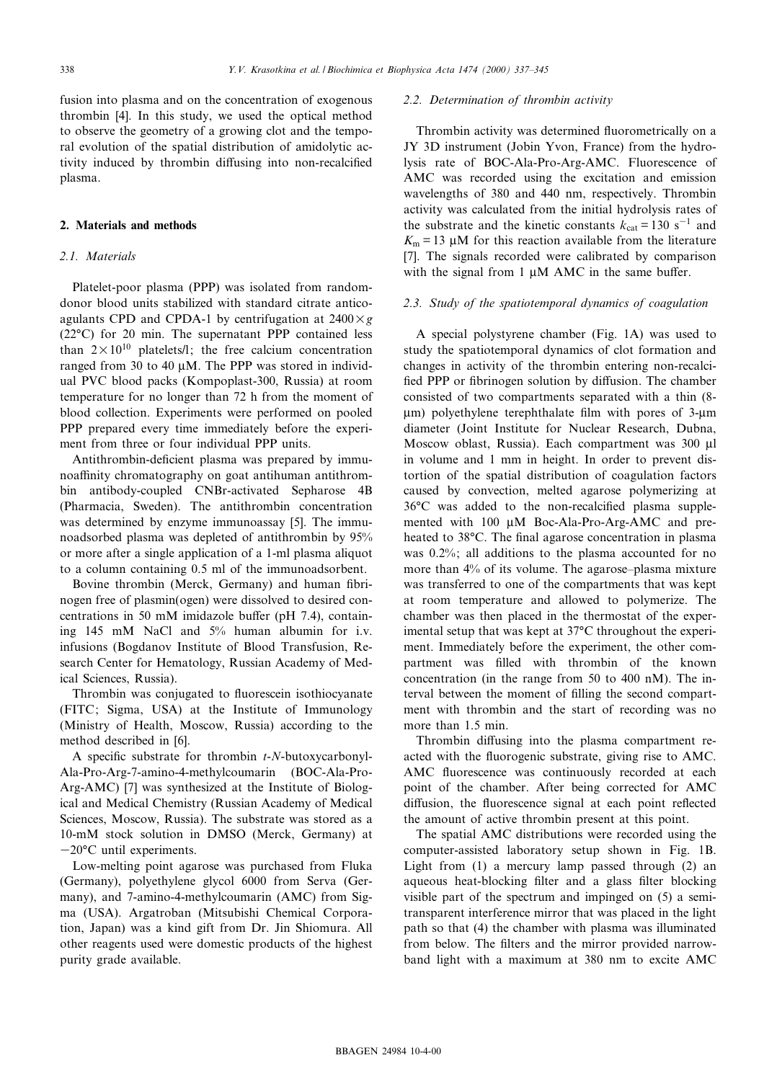fusion into plasma and on the concentration of exogenous thrombin [4]. In this study, we used the optical method to observe the geometry of a growing clot and the temporal evolution of the spatial distribution of amidolytic activity induced by thrombin diffusing into non-recalcified plasma.

### 2. Materials and methods

# 2.1. Materials

Platelet-poor plasma (PPP) was isolated from randomdonor blood units stabilized with standard citrate anticoagulants CPD and CPDA-1 by centrifugation at  $2400 \times g$  $(22^{\circ}C)$  for 20 min. The supernatant PPP contained less than  $2 \times 10^{10}$  platelets/l; the free calcium concentration ranged from 30 to 40  $\mu$ M. The PPP was stored in individual PVC blood packs (Kompoplast-300, Russia) at room temperature for no longer than 72 h from the moment of blood collection. Experiments were performed on pooled PPP prepared every time immediately before the experiment from three or four individual PPP units.

Antithrombin-deficient plasma was prepared by immunoaffinity chromatography on goat antihuman antithrombin antibody-coupled CNBr-activated Sepharose 4B (Pharmacia, Sweden). The antithrombin concentration was determined by enzyme immunoassay [5]. The immunoadsorbed plasma was depleted of antithrombin by 95% or more after a single application of a 1-ml plasma aliquot to a column containing 0.5 ml of the immunoadsorbent.

Bovine thrombin (Merck, Germany) and human fibrinogen free of plasmin(ogen) were dissolved to desired concentrations in 50 mM imidazole buffer (pH  $7.4$ ), containing 145 mM NaCl and 5% human albumin for i.v. infusions (Bogdanov Institute of Blood Transfusion, Research Center for Hematology, Russian Academy of Medical Sciences, Russia).

Thrombin was conjugated to fluorescein isothiocyanate (FITC; Sigma, USA) at the Institute of Immunology (Ministry of Health, Moscow, Russia) according to the method described in [6].

A specific substrate for thrombin  $t$ -N-butoxycarbonyl-Ala-Pro-Arg-7-amino-4-methylcoumarin (BOC-Ala-Pro-Arg-AMC) [7] was synthesized at the Institute of Biological and Medical Chemistry (Russian Academy of Medical Sciences, Moscow, Russia). The substrate was stored as a 10-mM stock solution in DMSO (Merck, Germany) at  $-20$ °C until experiments.

Low-melting point agarose was purchased from Fluka (Germany), polyethylene glycol 6000 from Serva (Germany), and 7-amino-4-methylcoumarin (AMC) from Sigma (USA). Argatroban (Mitsubishi Chemical Corporation, Japan) was a kind gift from Dr. Jin Shiomura. All other reagents used were domestic products of the highest purity grade available.

### 2.2. Determination of thrombin activity

Thrombin activity was determined fluorometrically on a JY 3D instrument (Jobin Yvon, France) from the hydrolysis rate of BOC-Ala-Pro-Arg-AMC. Fluorescence of AMC was recorded using the excitation and emission wavelengths of 380 and 440 nm, respectively. Thrombin activity was calculated from the initial hydrolysis rates of the substrate and the kinetic constants  $k_{\text{cat}} = 130 \text{ s}^{-1}$  and  $K_m = 13 \mu M$  for this reaction available from the literature [7]. The signals recorded were calibrated by comparison with the signal from  $1 \mu M$  AMC in the same buffer.

# 2.3. Study of the spatiotemporal dynamics of coagulation

A special polystyrene chamber (Fig. 1A) was used to study the spatiotemporal dynamics of clot formation and changes in activity of the thrombin entering non-recalci fied PPP or fibrinogen solution by diffusion. The chamber consisted of two compartments separated with a thin (8-  $\mu$ m) polyethylene terephthalate film with pores of 3- $\mu$ m diameter (Joint Institute for Nuclear Research, Dubna, Moscow oblast, Russia). Each compartment was 300 µl in volume and 1 mm in height. In order to prevent distortion of the spatial distribution of coagulation factors caused by convection, melted agarose polymerizing at 36°C was added to the non-recalcified plasma supplemented with 100  $\mu$ M Boc-Ala-Pro-Arg-AMC and preheated to 38<sup>o</sup>C. The final agarose concentration in plasma was 0.2%; all additions to the plasma accounted for no more than 4% of its volume. The agarose-plasma mixture was transferred to one of the compartments that was kept at room temperature and allowed to polymerize. The chamber was then placed in the thermostat of the experimental setup that was kept at 37°C throughout the experiment. Immediately before the experiment, the other compartment was filled with thrombin of the known concentration (in the range from 50 to 400 nM). The interval between the moment of filling the second compartment with thrombin and the start of recording was no more than 1.5 min.

Thrombin diffusing into the plasma compartment reacted with the fluorogenic substrate, giving rise to AMC. AMC fluorescence was continuously recorded at each point of the chamber. After being corrected for AMC diffusion, the fluorescence signal at each point reflected the amount of active thrombin present at this point.

The spatial AMC distributions were recorded using the computer-assisted laboratory setup shown in Fig. 1B. Light from (1) a mercury lamp passed through (2) an aqueous heat-blocking filter and a glass filter blocking visible part of the spectrum and impinged on (5) a semitransparent interference mirror that was placed in the light path so that (4) the chamber with plasma was illuminated from below. The filters and the mirror provided narrowband light with a maximum at 380 nm to excite AMC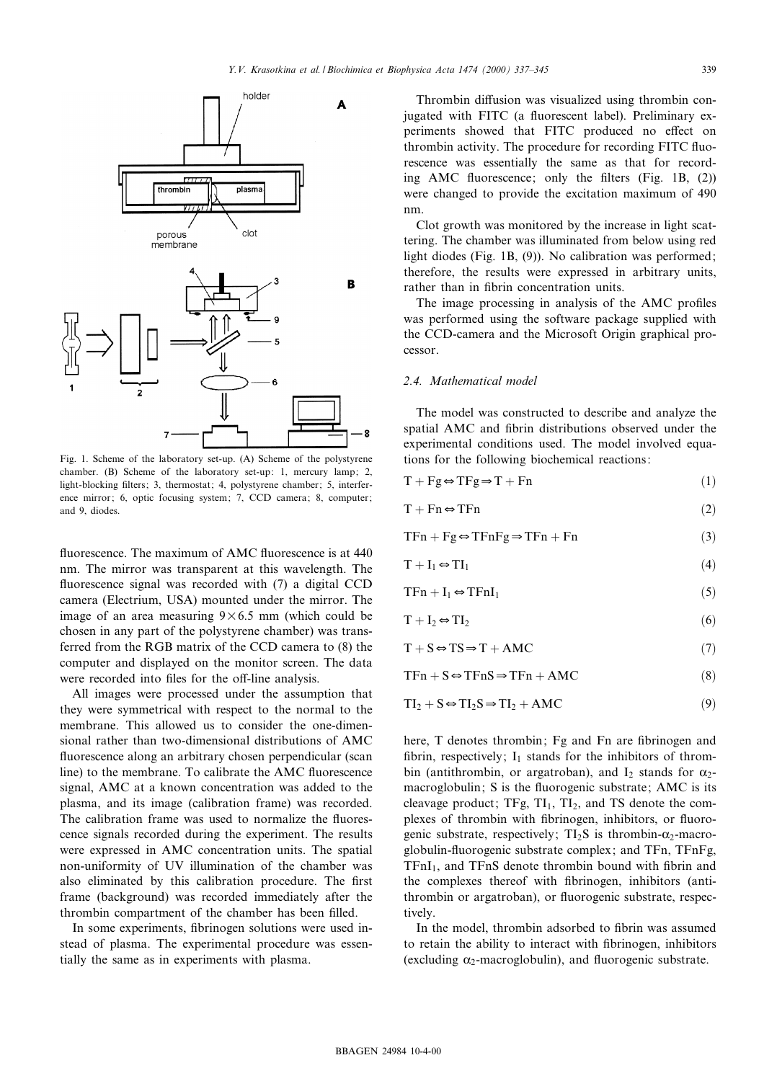

Fig. 1. Scheme of the laboratory set-up. (A) Scheme of the polystyrene chamber. (B) Scheme of the laboratory set-up: 1, mercury lamp; 2, light-blocking filters; 3, thermostat; 4, polystyrene chamber; 5, interference mirror; 6, optic focusing system; 7, CCD camera; 8, computer; and 9, diodes.

fluorescence. The maximum of AMC fluorescence is at 440 nm. The mirror was transparent at this wavelength. The fluorescence signal was recorded with (7) a digital CCD camera (Electrium, USA) mounted under the mirror. The image of an area measuring  $9\times 6.5$  mm (which could be chosen in any part of the polystyrene chamber) was transferred from the RGB matrix of the CCD camera to (8) the computer and displayed on the monitor screen. The data were recorded into files for the off-line analysis.

All images were processed under the assumption that they were symmetrical with respect to the normal to the membrane. This allowed us to consider the one-dimensional rather than two-dimensional distributions of AMC fluorescence along an arbitrary chosen perpendicular (scan line) to the membrane. To calibrate the AMC fluorescence signal, AMC at a known concentration was added to the plasma, and its image (calibration frame) was recorded. The calibration frame was used to normalize the fluorescence signals recorded during the experiment. The results were expressed in AMC concentration units. The spatial non-uniformity of UV illumination of the chamber was also eliminated by this calibration procedure. The first frame (background) was recorded immediately after the thrombin compartment of the chamber has been filled.

In some experiments, fibrinogen solutions were used instead of plasma. The experimental procedure was essentially the same as in experiments with plasma.

Thrombin diffusion was visualized using thrombin conjugated with FITC (a fluorescent label). Preliminary experiments showed that FITC produced no effect on thrombin activity. The procedure for recording FITC fluorescence was essentially the same as that for recording AMC fluorescence; only the filters (Fig. 1B,  $(2)$ ) were changed to provide the excitation maximum of 490 nm.

Clot growth was monitored by the increase in light scattering. The chamber was illuminated from below using red light diodes (Fig. 1B, (9)). No calibration was performed; therefore, the results were expressed in arbitrary units, rather than in fibrin concentration units.

The image processing in analysis of the AMC profiles was performed using the software package supplied with the CCD-camera and the Microsoft Origin graphical processor.

#### 2.4. Mathematical model

The model was constructed to describe and analyze the spatial AMC and fibrin distributions observed under the experimental conditions used. The model involved equations for the following biochemical reactions:

| $T + Fg \Leftrightarrow TFg \Rightarrow T + Fn$ |
|-------------------------------------------------|
|                                                 |

$$
T + Fn \Leftrightarrow TFn \tag{2}
$$

$$
TFn + Fg \Leftrightarrow TFnFg \Rightarrow TFn + Fn \tag{3}
$$

$$
T + I_1 \Leftrightarrow TI_1 \tag{4}
$$

$$
TFn + I_1 \Leftrightarrow TFnI_1 \tag{5}
$$

$$
T + I_2 \Leftrightarrow TI_2 \tag{6}
$$

$$
T + S \Leftrightarrow TS \Rightarrow T + AMC \tag{7}
$$

$$
TFn + S \Leftrightarrow TFnS \Rightarrow TFn + AMC \tag{8}
$$

$$
TI_2 + S \Leftrightarrow TI_2S \Rightarrow TI_2 + AMC \tag{9}
$$

here, T denotes thrombin; Fg and Fn are fibrinogen and fibrin, respectively;  $I_1$  stands for the inhibitors of thrombin (antithrombin, or argatroban), and  $I_2$  stands for  $\alpha_2$ macroglobulin; S is the fluorogenic substrate; AMC is its cleavage product;  $TFg, TI_1, TI_2,$  and TS denote the complexes of thrombin with fibrinogen, inhibitors, or fluorogenic substrate, respectively;  $TI_2S$  is thrombin- $\alpha_2$ -macroglobulin-£uorogenic substrate complex; and TFn, TFnFg,  $TFnI<sub>1</sub>$ , and  $TFnS$  denote thrombin bound with fibrin and the complexes thereof with fibrinogen, inhibitors (antithrombin or argatroban), or fluorogenic substrate, respectively.

In the model, thrombin adsorbed to fibrin was assumed to retain the ability to interact with fibrinogen, inhibitors (excluding  $\alpha_2$ -macroglobulin), and fluorogenic substrate.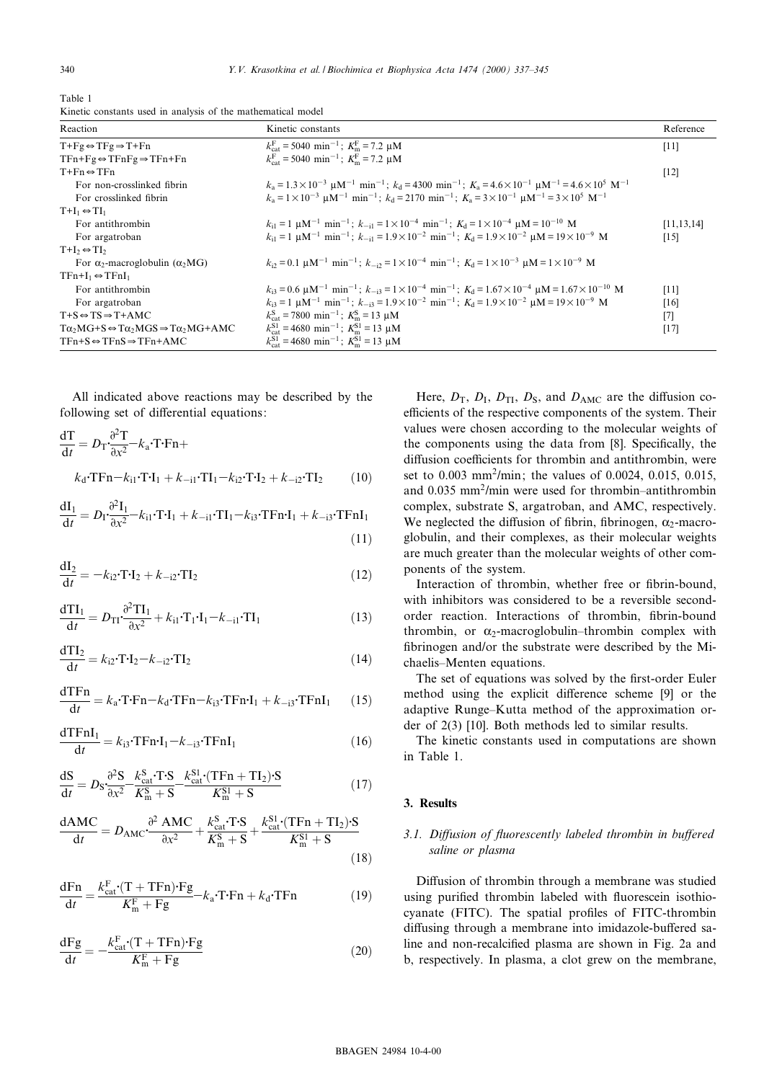| Table 1                                                      |  |  |  |  |
|--------------------------------------------------------------|--|--|--|--|
| Kinetic constants used in analysis of the mathematical model |  |  |  |  |

| Reaction                                                                        | Kinetic constants                                                                                                                                                                             | Reference    |
|---------------------------------------------------------------------------------|-----------------------------------------------------------------------------------------------------------------------------------------------------------------------------------------------|--------------|
| $T+Fg \Leftrightarrow TFg \Rightarrow T+Fn$                                     | $k_{\text{cat}}^{\text{F}} = 5040 \text{ min}^{-1}$ ; $K_{\text{m}}^{\text{F}} = 7.2 \text{ }\mu\text{M}$                                                                                     | $[11]$       |
| $TFn+Fg \Leftrightarrow TFnFg \Rightarrow TFn+Fn$                               | $k_{\text{est}}^{\text{F}} = 5040 \text{ min}^{-1}$ ; $K_{\text{m}}^{\text{F}} = 7.2 \text{ µM}$                                                                                              |              |
| $T+Fn \Leftrightarrow TFn$                                                      |                                                                                                                                                                                               | $[12]$       |
| For non-crosslinked fibrin                                                      | $k_a = 1.3 \times 10^{-3}$ $\mu$ M <sup>-1</sup> min <sup>-1</sup> ; $k_d = 4300$ min <sup>-1</sup> ; $K_a = 4.6 \times 10^{-1}$ $\mu$ M <sup>-1</sup> = 4.6 $\times 10^5$ M <sup>-1</sup>    |              |
| For crosslinked fibrin                                                          | $k_2 = 1 \times 10^{-3}$ uM <sup>-1</sup> min <sup>-1</sup> ; $k_3 = 2170$ min <sup>-1</sup> ; $K_3 = 3 \times 10^{-1}$ uM <sup>-1</sup> = $3 \times 10^5$ M <sup>-1</sup>                    |              |
| $T+I_1 \Leftrightarrow TI_1$                                                    |                                                                                                                                                                                               |              |
| For antithrombin                                                                | $k_{i1} = 1$ uM <sup>-1</sup> min <sup>-1</sup> ; $k_{-i1} = 1 \times 10^{-4}$ min <sup>-1</sup> ; $K_i = 1 \times 10^{-4}$ uM = $10^{-10}$ M                                                 | [11, 13, 14] |
| For argatroban                                                                  | $k_{11} = 1$ uM <sup>-1</sup> min <sup>-1</sup> ; $k_{-11} = 1.9 \times 10^{-2}$ min <sup>-1</sup> ; $K_d = 1.9 \times 10^{-2}$ uM = $19 \times 10^{-9}$ M                                    | $[15]$       |
| $T+I_2 \Leftrightarrow TI_2$                                                    |                                                                                                                                                                                               |              |
| For $\alpha_2$ -macroglobulin ( $\alpha_2 MG$ )                                 | $k_0 = 0.1$ uM <sup>-1</sup> min <sup>-1</sup> ; $k_{-i2} = 1 \times 10^{-4}$ min <sup>-1</sup> ; $K_d = 1 \times 10^{-3}$ uM = $1 \times 10^{-9}$ M                                          |              |
| $TFn+I_1 \Leftrightarrow TFnI_1$                                                |                                                                                                                                                                                               |              |
| For antithrombin                                                                | $k_{13} = 0.6 \text{ }\mu\text{M}^{-1} \text{ min}^{-1}$ ; $k_{-13} = 1 \times 10^{-4} \text{ min}^{-1}$ ; $K_{d} = 1.67 \times 10^{-4} \text{ }\mu\text{M} = 1.67 \times 10^{-10} \text{ M}$ | $[11]$       |
| For argatroban                                                                  | $k_{13} = 1 \text{ }\mu\text{M}^{-1} \text{ min}^{-1}$ ; $k_{-13} = 1.9 \times 10^{-2} \text{ min}^{-1}$ ; $K_d = 1.9 \times 10^{-2} \text{ }\mu\text{M} = 19 \times 10^{-9} \text{ M}$       | $[16]$       |
| $T+S \Leftrightarrow TS \Rightarrow T+AMC$                                      | $k_{\text{cat}}^{\text{S}} = 7800 \text{ min}^{-1}$ ; $K_{\text{m}}^{\text{S}} = 13 \text{ }\mu\text{M}$                                                                                      | $[7]$        |
| $T\alpha_2 MG + S \Leftrightarrow T\alpha_2 MGS \Rightarrow T\alpha_2 MG + AMC$ | $k_{\text{est}}^{\text{S1}} = 4680 \text{ min}^{-1}$ ; $K_{\text{m}}^{\text{S1}} = 13 \text{ }\mu\text{M}$                                                                                    | $[17]$       |
| $TFn+S \Leftrightarrow TFnS \Rightarrow TFn+AMC$                                | $k_{\text{est}}^{\text{S1}} = 4680 \text{ min}^{-1}$ ; $K_{\text{m}}^{\text{S1}} = 13 \text{ }\mu\text{M}$                                                                                    |              |

All indicated above reactions may be described by the following set of differential equations:

$$
\frac{d\mathbf{T}}{dt} = D_{\mathbf{T}} \cdot \frac{\partial^2 \mathbf{T}}{\partial x^2} - k_a \cdot \mathbf{T} \cdot \mathbf{F} \mathbf{n} +
$$
  

$$
k_d \cdot \mathbf{T} \cdot \mathbf{F} \mathbf{n} - k_{i1} \cdot \mathbf{T} \cdot \mathbf{I}_1 + k_{-i1} \cdot \mathbf{T} \mathbf{I}_1 - k_{i2} \cdot \mathbf{T} \cdot \mathbf{I}_2 + k_{-i2} \cdot \mathbf{T} \mathbf{I}_2 \tag{10}
$$

$$
\frac{dI_1}{dt} = D_I \cdot \frac{\partial^2 I_1}{\partial x^2} - k_{i1} \cdot T \cdot I_1 + k_{-i1} \cdot T I_1 - k_{i3} \cdot T F n \cdot I_1 + k_{-i3} \cdot T F n I_1
$$
\n(11)

$$
\frac{\mathrm{dI}_2}{\mathrm{d}t} = -k_{i2} \cdot \mathbf{T} \cdot \mathbf{I}_2 + k_{-i2} \cdot \mathbf{T} \mathbf{I}_2 \tag{12}
$$

$$
\frac{\mathrm{d} \mathrm{TI}_1}{\mathrm{d} t} = D_{\mathrm{TI}} \cdot \frac{\partial^2 \mathrm{TI}_1}{\partial x^2} + k_{i1} \cdot \mathrm{TI}_1 \cdot \mathrm{I}_1 - k_{-i1} \cdot \mathrm{TI}_1 \tag{13}
$$

$$
\frac{\mathrm{d} \mathbf{T} \mathbf{I}_2}{\mathrm{d} t} = k_{i2} \cdot \mathbf{T} \cdot \mathbf{I}_2 - k_{-i2} \cdot \mathbf{T} \mathbf{I}_2 \tag{14}
$$

$$
\frac{\text{dTFn}}{\text{d}t} = k_{\text{a}} \cdot \text{TrF} \cdot \text{Tr} - k_{\text{d}} \cdot \text{Tr} \cdot \text{Tr} \cdot \text{Tr} \cdot \text{Tr} \cdot \text{Tr} \cdot \text{Tr} \cdot \text{Tr} \cdot \text{Tr} \cdot \text{Tr} \cdot \text{Tr} \cdot \text{Tr} \cdot \text{Tr} \cdot \text{Tr} \cdot \text{Tr} \cdot \text{Tr} \cdot \text{Tr} \cdot \text{Tr} \cdot \text{Tr} \cdot \text{Tr} \cdot \text{Tr} \cdot \text{Tr} \cdot \text{Tr} \cdot \text{Tr} \cdot \text{Tr} \cdot \text{Tr} \cdot \text{Tr} \cdot \text{Tr} \cdot \text{Tr} \cdot \text{Tr} \cdot \text{Tr} \cdot \text{Tr} \cdot \text{Tr} \cdot \text{Tr} \cdot \text{Tr} \cdot \text{Tr} \cdot \text{Tr} \cdot \text{Tr} \cdot \text{Tr} \cdot \text{Tr} \cdot \text{Tr} \cdot \text{Tr} \cdot \text{Tr} \cdot \text{Tr} \cdot \text{Tr} \cdot \text{Tr} \cdot \text{Tr} \cdot \text{Tr} \cdot \text{Tr} \cdot \text{Tr} \cdot \text{Tr} \cdot \text{Tr} \cdot \text{Tr} \cdot \text{Tr} \cdot \text{Tr} \cdot \text{Tr} \cdot \text{Tr} \cdot \text{Tr} \cdot \text{Tr} \cdot \text{Tr} \cdot \text{Tr} \cdot \text{Tr} \cdot \text{Tr} \cdot \text{Tr} \cdot \text{Tr} \cdot \text{Tr} \cdot \text{Tr} \cdot \text{Tr} \cdot \text{Tr} \cdot \text{Tr} \cdot \text{Tr} \cdot \text{Tr} \cdot \text{Tr} \cdot \text{Tr} \cdot \text{Tr} \cdot \text{Tr} \cdot \text{Tr} \cdot \text{Tr} \cdot \text{Tr} \cdot \text{Tr} \cdot \text{Tr} \cdot \text{Tr} \cdot \text{Tr} \cdot \text{Tr} \cdot \text{Tr} \cdot \text{Tr} \cdot \text{Tr} \cdot \text{Tr} \cdot \text{Tr} \cdot \text{Tr} \cdot \text{Tr} \cdot \text{Tr} \cdot \text{Tr} \cdot \text{Tr} \cdot \text{Tr} \cdot \text{Tr} \cdot \text{Tr} \cdot \text{Tr} \cdot \text{Tr} \cdot \text{Tr} \cdot \text{Tr} \cdot \text{Tr} \cdot \text{Tr
$$

$$
\frac{\mathrm{d} \mathrm{TFnI}_1}{\mathrm{d} t} = k_{i3} \cdot \mathrm{TFn} \cdot \mathrm{I}_1 - k_{-i3} \cdot \mathrm{TFnI}_1 \tag{16}
$$

$$
\frac{\mathrm{dS}}{\mathrm{d}t} = D_{\mathrm{S}} \frac{\partial^2 \mathrm{S}}{\partial x^2} - \frac{k_{\mathrm{cat}}^{\mathrm{S}} \cdot \mathrm{TS}}{K_{\mathrm{m}}^{\mathrm{S}} + \mathrm{S}} - \frac{k_{\mathrm{cat}}^{\mathrm{S1}} \cdot (\mathrm{TFn} + \mathrm{TI}_2) \cdot \mathrm{S}}{K_{\mathrm{m}}^{\mathrm{S1}} + \mathrm{S}} \tag{17}
$$

$$
\frac{\text{dAMC}}{\text{d}t} = D_{\text{AMC}} \cdot \frac{\partial^2 \text{ AMC}}{\partial x^2} + \frac{k_{\text{cat}}^{\text{S}} \cdot \text{T} \cdot \text{S}}{K_{\text{m}}^{\text{S}} + \text{S}} + \frac{k_{\text{cat}}^{\text{SI}} \cdot (\text{TFn} + \text{TI}_2) \cdot \text{S}}{K_{\text{m}}^{\text{SI}} + \text{S}}
$$
(18)

$$
\frac{dFn}{dt} = \frac{k_{cat}^F \cdot (T + TFn) \cdot Fg}{K_m^F + Fg} - k_a \cdot T \cdot Fn + k_d \cdot TFn \tag{19}
$$

$$
\frac{dFg}{dt} = -\frac{k_{cat}^F \cdot (T + TFn) \cdot Fg}{K_m^F + Fg} \tag{20}
$$

Here,  $D_T$ ,  $D_I$ ,  $D_{TI}$ ,  $D_S$ , and  $D_{AMC}$  are the diffusion coefficients of the respective components of the system. Their values were chosen according to the molecular weights of the components using the data from [8]. Specifically, the diffusion coefficients for thrombin and antithrombin, were set to 0.003 mm2/min; the values of 0.0024, 0.015, 0.015, and 0.035 mm<sup>2</sup>/min were used for thrombin-antithrombin complex, substrate S, argatroban, and AMC, respectively. We neglected the diffusion of fibrin, fibrinogen,  $\alpha_2$ -macroglobulin, and their complexes, as their molecular weights are much greater than the molecular weights of other components of the system.

Interaction of thrombin, whether free or fibrin-bound, with inhibitors was considered to be a reversible secondorder reaction. Interactions of thrombin, fibrin-bound thrombin, or  $\alpha_2$ -macroglobulin-thrombin complex with fibrinogen and/or the substrate were described by the Michaelis-Menten equations.

The set of equations was solved by the first-order Euler method using the explicit difference scheme [9] or the adaptive Runge–Kutta method of the approximation order of 2(3) [10]. Both methods led to similar results.

The kinetic constants used in computations are shown in Table 1.

## 3. Results

# 3.1. Diffusion of fluorescently labeled thrombin in buffered saline or plasma

Diffusion of thrombin through a membrane was studied using purified thrombin labeled with fluorescein isothiocyanate (FITC). The spatial profiles of FITC-thrombin diffusing through a membrane into imidazole-buffered saline and non-recalcified plasma are shown in Fig. 2a and b, respectively. In plasma, a clot grew on the membrane,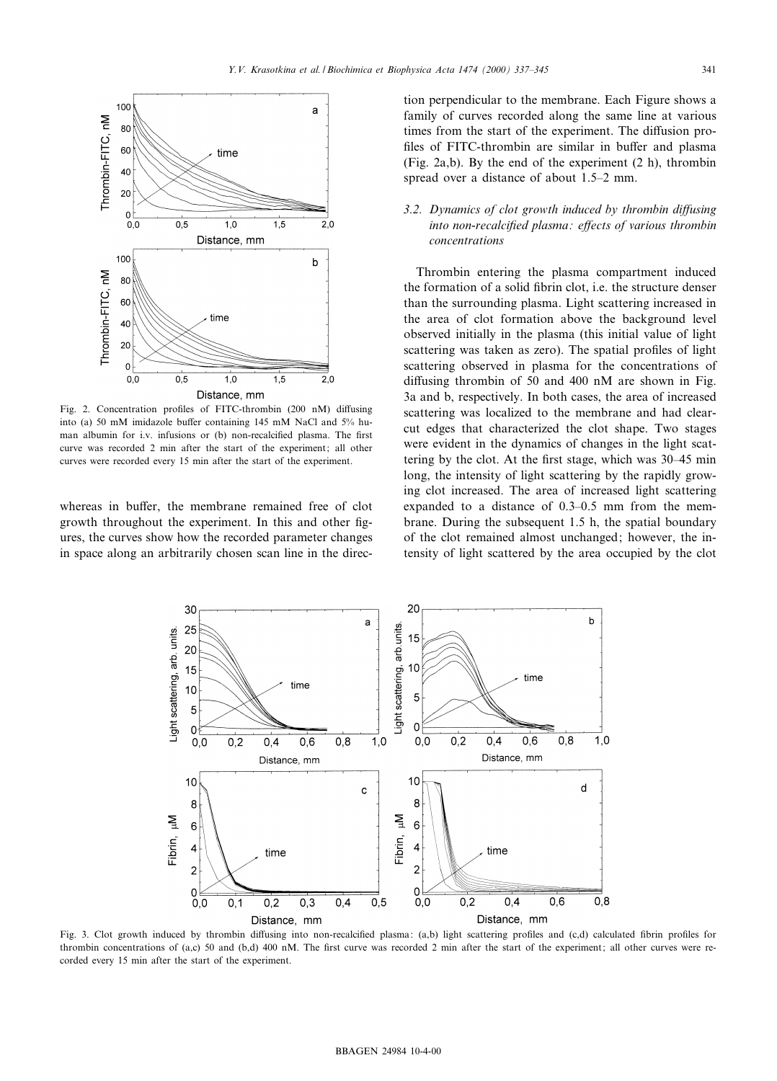

Fig. 2. Concentration profiles of FITC-thrombin (200 nM) diffusing into (a) 50 mM imidazole buffer containing 145 mM NaCl and  $5\%$  human albumin for i.v. infusions or (b) non-recalcified plasma. The first curve was recorded 2 min after the start of the experiment; all other curves were recorded every 15 min after the start of the experiment.

whereas in buffer, the membrane remained free of clot growth throughout the experiment. In this and other figures, the curves show how the recorded parameter changes in space along an arbitrarily chosen scan line in the direction perpendicular to the membrane. Each Figure shows a family of curves recorded along the same line at various times from the start of the experiment. The diffusion profiles of FITC-thrombin are similar in buffer and plasma (Fig. 2a,b). By the end of the experiment (2 h), thrombin spread over a distance of about 1.5<sup> $-2$ </sup> mm.

# 3.2. Dynamics of clot growth induced by thrombin diffusing into non-recalcified plasma: effects of various thrombin concentrations

Thrombin entering the plasma compartment induced the formation of a solid fibrin clot, i.e. the structure denser than the surrounding plasma. Light scattering increased in the area of clot formation above the background level observed initially in the plasma (this initial value of light scattering was taken as zero). The spatial profiles of light scattering observed in plasma for the concentrations of diffusing thrombin of 50 and 400 nM are shown in Fig. 3a and b, respectively. In both cases, the area of increased scattering was localized to the membrane and had clearcut edges that characterized the clot shape. Two stages were evident in the dynamics of changes in the light scattering by the clot. At the first stage, which was 30–45 min long, the intensity of light scattering by the rapidly growing clot increased. The area of increased light scattering expanded to a distance of 0.3-0.5 mm from the membrane. During the subsequent 1.5 h, the spatial boundary of the clot remained almost unchanged; however, the intensity of light scattered by the area occupied by the clot



Fig. 3. Clot growth induced by thrombin diffusing into non-recalcified plasma: (a,b) light scattering profiles and (c,d) calculated fibrin profiles for thrombin concentrations of (a,c) 50 and (b,d) 400 nM. The first curve was recorded 2 min after the start of the experiment; all other curves were recorded every 15 min after the start of the experiment.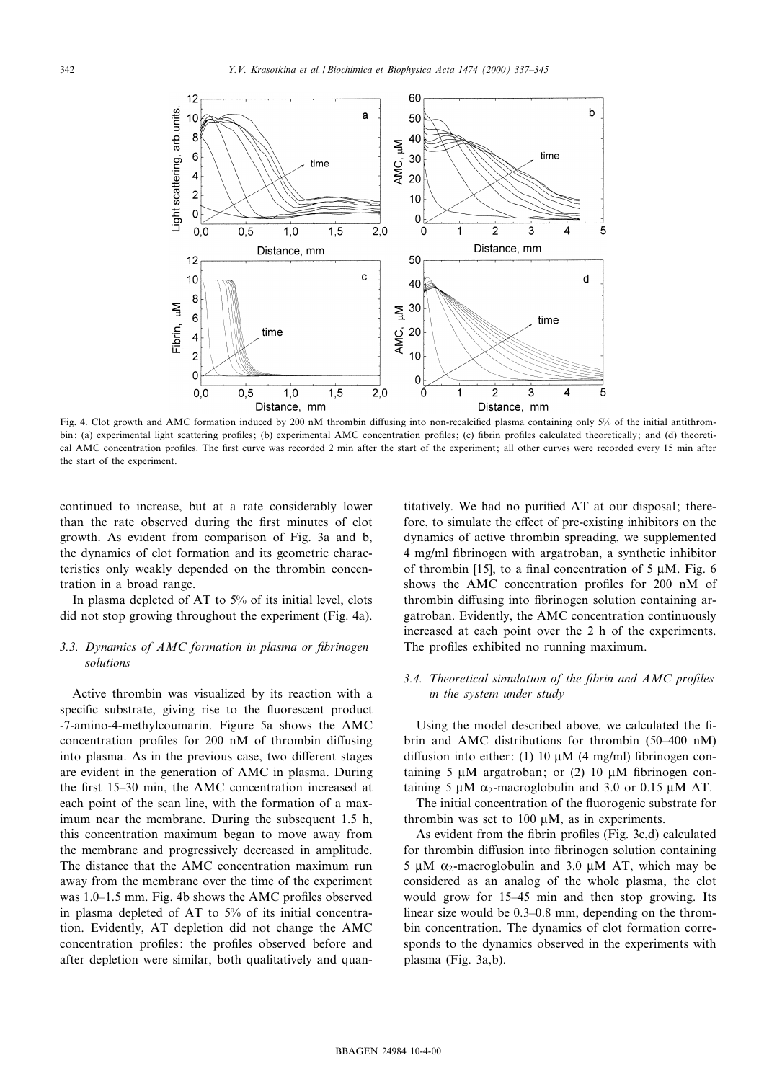

Fig. 4. Clot growth and AMC formation induced by 200 nM thrombin diffusing into non-recalcified plasma containing only 5% of the initial antithrombin: (a) experimental light scattering profiles; (b) experimental AMC concentration profiles; (c) fibrin profiles calculated theoretically; and (d) theoretical AMC concentration profiles. The first curve was recorded 2 min after the start of the experiment; all other curves were recorded every 15 min after the start of the experiment.

continued to increase, but at a rate considerably lower than the rate observed during the first minutes of clot growth. As evident from comparison of Fig. 3a and b, the dynamics of clot formation and its geometric characteristics only weakly depended on the thrombin concentration in a broad range.

In plasma depleted of AT to 5% of its initial level, clots did not stop growing throughout the experiment (Fig. 4a).

# 3.3. Dynamics of AMC formation in plasma or fibrinogen solutions

Active thrombin was visualized by its reaction with a specific substrate, giving rise to the fluorescent product -7-amino-4-methylcoumarin. Figure 5a shows the AMC concentration profiles for  $200$  nM of thrombin diffusing into plasma. As in the previous case, two different stages are evident in the generation of AMC in plasma. During the first  $15-30$  min, the AMC concentration increased at each point of the scan line, with the formation of a maximum near the membrane. During the subsequent 1.5 h, this concentration maximum began to move away from the membrane and progressively decreased in amplitude. The distance that the AMC concentration maximum run away from the membrane over the time of the experiment was 1.0–1.5 mm. Fig. 4b shows the AMC profiles observed in plasma depleted of AT to 5% of its initial concentration. Evidently, AT depletion did not change the AMC concentration profiles: the profiles observed before and after depletion were similar, both qualitatively and quantitatively. We had no purified AT at our disposal; therefore, to simulate the effect of pre-existing inhibitors on the dynamics of active thrombin spreading, we supplemented 4 mg/ml ¢brinogen with argatroban, a synthetic inhibitor of thrombin [15], to a final concentration of 5  $\mu$ M. Fig. 6 shows the AMC concentration profiles for 200 nM of thrombin diffusing into fibrinogen solution containing argatroban. Evidently, the AMC concentration continuously increased at each point over the 2 h of the experiments. The profiles exhibited no running maximum.

# 3.4. Theoretical simulation of the fibrin and  $AMC$  profiles in the system under study

Using the model described above, we calculated the fibrin and AMC distributions for thrombin (50-400 nM) diffusion into either: (1) 10  $\mu$ M (4 mg/ml) fibrinogen containing 5  $\mu$ M argatroban; or (2) 10  $\mu$ M fibrinogen containing 5  $\mu$ M  $\alpha$ <sub>2</sub>-macroglobulin and 3.0 or 0.15  $\mu$ M AT.

The initial concentration of the fluorogenic substrate for thrombin was set to 100  $\mu$ M, as in experiments.

As evident from the fibrin profiles (Fig. 3c,d) calculated for thrombin diffusion into fibrinogen solution containing 5  $\mu$ M  $\alpha$ <sub>2</sub>-macroglobulin and 3.0  $\mu$ M AT, which may be considered as an analog of the whole plasma, the clot would grow for 15-45 min and then stop growing. Its linear size would be  $0.3-0.8$  mm, depending on the thrombin concentration. The dynamics of clot formation corresponds to the dynamics observed in the experiments with plasma (Fig. 3a,b).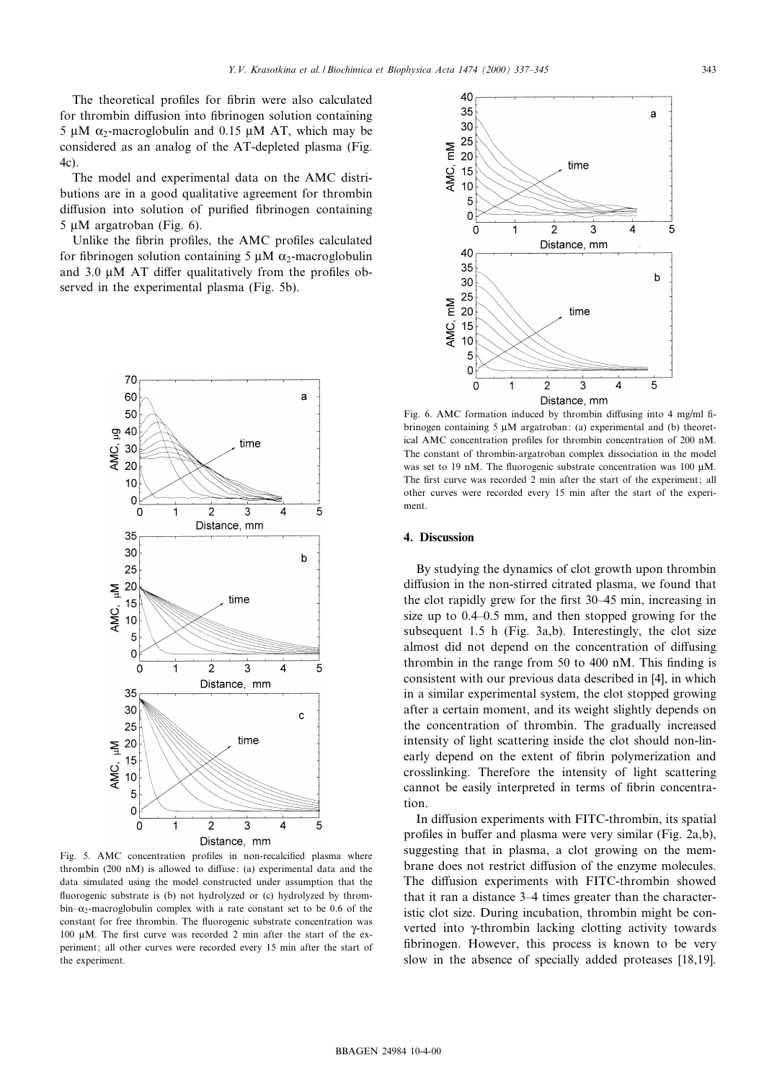The theoretical profiles for fibrin were also calculated for thrombin diffusion into fibrinogen solution containing 5  $\mu$ M  $\alpha$ <sub>2</sub>-macroglobulin and 0.15  $\mu$ M AT, which may be considered as an analog of the AT-depleted plasma (Fig. 4c).

The model and experimental data on the AMC distributions are in a good qualitative agreement for thrombin diffusion into solution of purified fibrinogen containing  $5 \mu M$  argatroban (Fig. 6).

Unlike the fibrin profiles, the AMC profiles calculated for fibrinogen solution containing 5  $\mu$ M  $\alpha$ <sub>2</sub>-macroglobulin and 3.0  $\mu$ M AT differ qualitatively from the profiles observed in the experimental plasma (Fig. 5b).



Fig. 5. AMC concentration profiles in non-recalcified plasma where thrombin  $(200 \text{ nM})$  is allowed to diffuse: (a) experimental data and the data simulated using the model constructed under assumption that the £uorogenic substrate is (b) not hydrolyzed or (c) hydrolyzed by throm $bin-<sub>2</sub>$ -macroglobulin complex with a rate constant set to be 0.6 of the constant for free thrombin. The fluorogenic substrate concentration was  $100 \text{ uM}$ . The first curve was recorded 2 min after the start of the experiment; all other curves were recorded every 15 min after the start of the experiment.



Fig. 6. AMC formation induced by thrombin diffusing into 4 mg/ml fibrinogen containing 5  $\mu$ M argatroban: (a) experimental and (b) theoretical AMC concentration profiles for thrombin concentration of 200 nM. The constant of thrombin-argatroban complex dissociation in the model was set to 19 nM. The fluorogenic substrate concentration was 100 uM. The first curve was recorded 2 min after the start of the experiment; all other curves were recorded every 15 min after the start of the experiment.

### 4. Discussion

By studying the dynamics of clot growth upon thrombin diffusion in the non-stirred citrated plasma, we found that the clot rapidly grew for the first 30–45 min, increasing in size up to  $0.4$ -0.5 mm, and then stopped growing for the subsequent 1.5 h (Fig. 3a,b). Interestingly, the clot size almost did not depend on the concentration of diffusing thrombin in the range from 50 to 400 nM. This finding is consistent with our previous data described in [4], in which in a similar experimental system, the clot stopped growing after a certain moment, and its weight slightly depends on the concentration of thrombin. The gradually increased intensity of light scattering inside the clot should non-linearly depend on the extent of fibrin polymerization and crosslinking. Therefore the intensity of light scattering cannot be easily interpreted in terms of fibrin concentration.

In diffusion experiments with FITC-thrombin, its spatial profiles in buffer and plasma were very similar (Fig. 2a,b), suggesting that in plasma, a clot growing on the membrane does not restrict diffusion of the enzyme molecules. The diffusion experiments with FITC-thrombin showed that it ran a distance 3-4 times greater than the characteristic clot size. During incubation, thrombin might be converted into  $\gamma$ -thrombin lacking clotting activity towards fibrinogen. However, this process is known to be very slow in the absence of specially added proteases [18,19].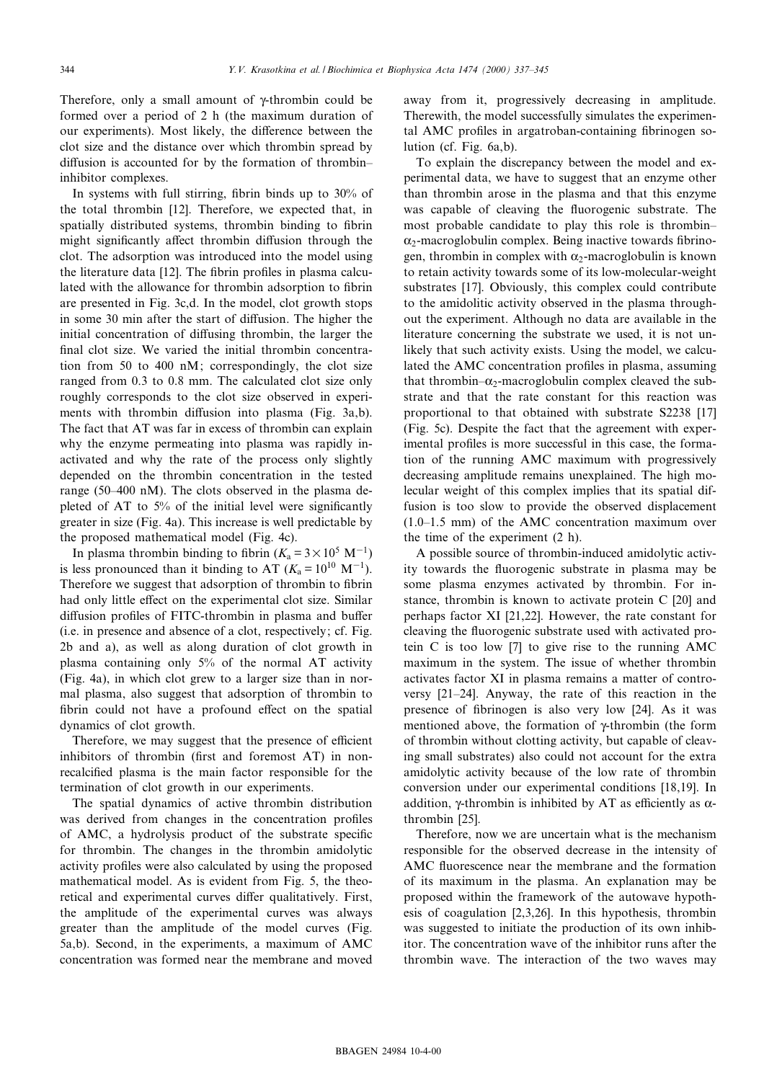Therefore, only a small amount of  $\gamma$ -thrombin could be formed over a period of 2 h (the maximum duration of our experiments). Most likely, the difference between the clot size and the distance over which thrombin spread by diffusion is accounted for by the formation of thrombininhibitor complexes.

In systems with full stirring, fibrin binds up to  $30\%$  of the total thrombin [12]. Therefore, we expected that, in spatially distributed systems, thrombin binding to fibrin might significantly affect thrombin diffusion through the clot. The adsorption was introduced into the model using the literature data [12]. The fibrin profiles in plasma calculated with the allowance for thrombin adsorption to fibrin are presented in Fig. 3c,d. In the model, clot growth stops in some 30 min after the start of diffusion. The higher the initial concentration of diffusing thrombin, the larger the final clot size. We varied the initial thrombin concentration from 50 to 400 nM; correspondingly, the clot size ranged from 0.3 to 0.8 mm. The calculated clot size only roughly corresponds to the clot size observed in experiments with thrombin diffusion into plasma (Fig. 3a,b). The fact that AT was far in excess of thrombin can explain why the enzyme permeating into plasma was rapidly inactivated and why the rate of the process only slightly depended on the thrombin concentration in the tested range (50 $-400$  nM). The clots observed in the plasma depleted of AT to  $5\%$  of the initial level were significantly greater in size (Fig. 4a). This increase is well predictable by the proposed mathematical model (Fig. 4c).

In plasma thrombin binding to fibrin ( $K_a = 3 \times 10^5 \text{ M}^{-1}$ ) is less pronounced than it binding to AT  $(K_a = 10^{10} \text{ M}^{-1})$ . Therefore we suggest that adsorption of thrombin to fibrin had only little effect on the experimental clot size. Similar diffusion profiles of FITC-thrombin in plasma and buffer (i.e. in presence and absence of a clot, respectively; cf. Fig. 2b and a), as well as along duration of clot growth in plasma containing only 5% of the normal AT activity (Fig. 4a), in which clot grew to a larger size than in normal plasma, also suggest that adsorption of thrombin to fibrin could not have a profound effect on the spatial dynamics of clot growth.

Therefore, we may suggest that the presence of efficient inhibitors of thrombin (first and foremost AT) in nonrecalcified plasma is the main factor responsible for the termination of clot growth in our experiments.

The spatial dynamics of active thrombin distribution was derived from changes in the concentration profiles of AMC, a hydrolysis product of the substrate specific for thrombin. The changes in the thrombin amidolytic activity profiles were also calculated by using the proposed mathematical model. As is evident from Fig. 5, the theoretical and experimental curves differ qualitatively. First, the amplitude of the experimental curves was always greater than the amplitude of the model curves (Fig. 5a,b). Second, in the experiments, a maximum of AMC concentration was formed near the membrane and moved away from it, progressively decreasing in amplitude. Therewith, the model successfully simulates the experimental AMC profiles in argatroban-containing fibrinogen solution (cf. Fig. 6a,b).

To explain the discrepancy between the model and experimental data, we have to suggest that an enzyme other than thrombin arose in the plasma and that this enzyme was capable of cleaving the fluorogenic substrate. The most probable candidate to play this role is thrombin^  $\alpha_2$ -macroglobulin complex. Being inactive towards fibrinogen, thrombin in complex with  $\alpha_2$ -macroglobulin is known to retain activity towards some of its low-molecular-weight substrates [17]. Obviously, this complex could contribute to the amidolitic activity observed in the plasma throughout the experiment. Although no data are available in the literature concerning the substrate we used, it is not unlikely that such activity exists. Using the model, we calculated the AMC concentration profiles in plasma, assuming that thrombin- $\alpha_2$ -macroglobulin complex cleaved the substrate and that the rate constant for this reaction was proportional to that obtained with substrate S2238 [17] (Fig. 5c). Despite the fact that the agreement with experimental profiles is more successful in this case, the formation of the running AMC maximum with progressively decreasing amplitude remains unexplained. The high molecular weight of this complex implies that its spatial diffusion is too slow to provide the observed displacement  $(1.0-1.5 \text{ mm})$  of the AMC concentration maximum over the time of the experiment (2 h).

A possible source of thrombin-induced amidolytic activity towards the fluorogenic substrate in plasma may be some plasma enzymes activated by thrombin. For instance, thrombin is known to activate protein C [20] and perhaps factor XI [21,22]. However, the rate constant for cleaving the fluorogenic substrate used with activated protein C is too low [7] to give rise to the running AMC maximum in the system. The issue of whether thrombin activates factor XI in plasma remains a matter of controversy  $[21-24]$ . Anyway, the rate of this reaction in the presence of fibrinogen is also very low [24]. As it was mentioned above, the formation of  $\gamma$ -thrombin (the form of thrombin without clotting activity, but capable of cleaving small substrates) also could not account for the extra amidolytic activity because of the low rate of thrombin conversion under our experimental conditions [18,19]. In addition,  $\gamma$ -thrombin is inhibited by AT as efficiently as  $\alpha$ thrombin [25].

Therefore, now we are uncertain what is the mechanism responsible for the observed decrease in the intensity of AMC fluorescence near the membrane and the formation of its maximum in the plasma. An explanation may be proposed within the framework of the autowave hypothesis of coagulation [2,3,26]. In this hypothesis, thrombin was suggested to initiate the production of its own inhibitor. The concentration wave of the inhibitor runs after the thrombin wave. The interaction of the two waves may